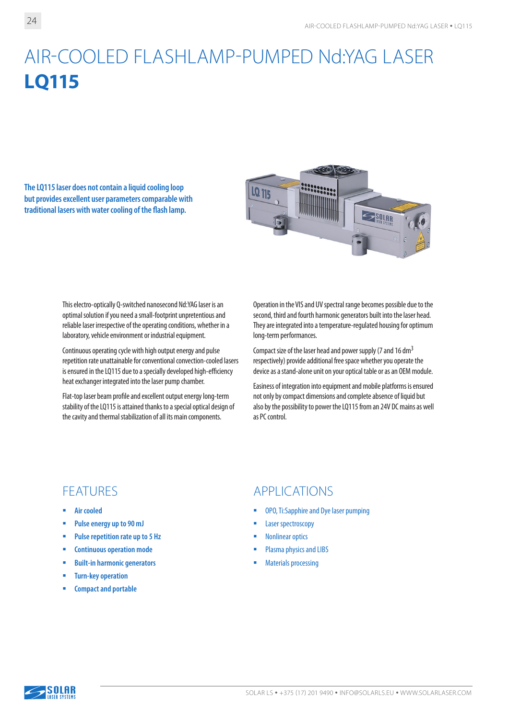# AIR-COOLED FLASHLAMP-PUMPED Nd:YAG LASER **LQ115**

**The LQ115 laser does not contain a liquid cooling loop but provides excellent user parameters comparable with traditional lasers with water cooling of the flash lamp.**



This electro-optically Q-switched nanosecond Nd:YAG laser is an optimal solution if you need a small-footprint unpretentious and reliable laser irrespective of the operating conditions, whether in a laboratory, vehicle environment or industrial equipment.

Continuous operating cycle with high output energy and pulse repetition rate unattainable for conventional convection-cooled lasers is ensured in the LQ115 due to a specially developed high-efficiency heat exchanger integrated into the laser pump chamber.

Flat-top laser beam profile and excellent output energy long-term stability of the LQ115 is attained thanks to a special optical design of the cavity and thermal stabilization of all its main components.

Operation in the VIS and UV spectral range becomes possible due to the second, third and fourth harmonic generators built into the laser head. They are integrated into a temperature-regulated housing for optimum long-term performances.

Compact size of the laser head and power supply (7 and 16 dm3 respectively) provide additional free space whether you operate the device as a stand-alone unit on your optical table or as an OEM module.

Easiness of integration into equipment and mobile platforms is ensured not only by compact dimensions and complete absence of liquid but also by the possibility to power the LQ115 from an 24V DC mains as well as PC control.

- **Air cooled**
- **Pulse energy up to 90 mJ**
- **Pulse repetition rate up to 5 Hz**
- **Continuous operation mode**
- **Built-in harmonic generators**
- **Turn-key operation**
- **EXECOMPACT AND PORTABLE**

### FEATURES APPLICATIONS

- OPO, Ti:Sapphire and Dye laser pumping
- **Laser spectroscopy**
- Nonlinear optics
- **Plasma physics and LIBS**
- Materials processing